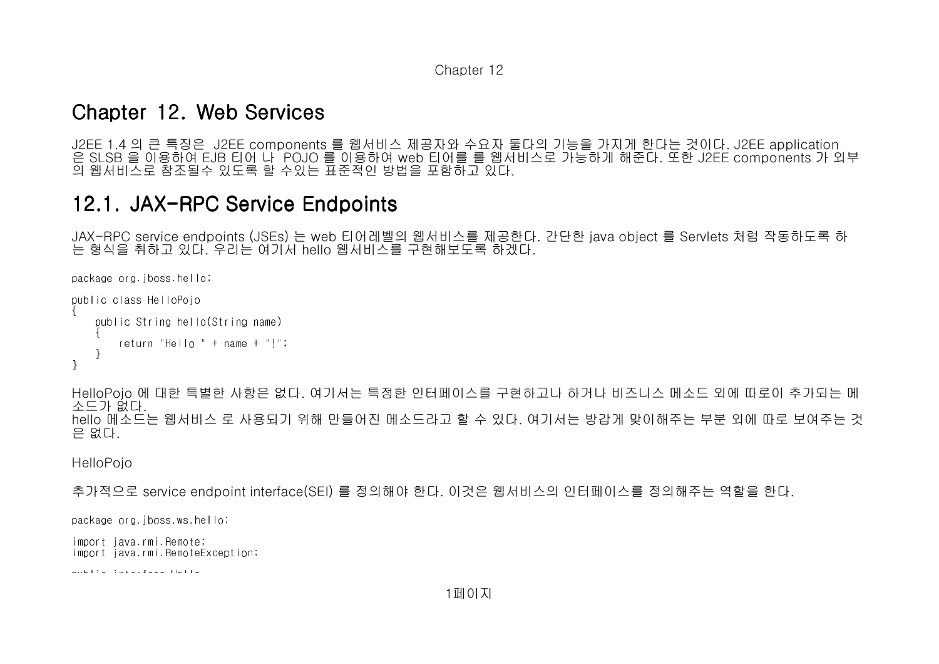## Chapter 12. Web Services

J2EE 1.4 의 큰 특징은 J2EE components 를 웹서비스 제공자와 수요자 둘다의 기능을 가지게 한다는 것이다. J2EE application 은 SLSB 을 이용하여 EJB 티어 나 POJO 를 이용하여 web 티어를 를 웹서비스로 가능하게 해준다. 또한 J2EE components 가 외부의 웹서비스로 참조될수 있도록 할 수있는 표준적인 방법을 포함하고 있다.

# 12.1. JAX-RPC Service Endpoints

JAX-RPC service endpoints (JSEs) 는 web 티어레벨의 웹서비스를 제공한다. 간단한 java object 를 Servlets 처럼 작동하도록 하는 형식을 취하고 있다. 우리는 여기서 hello 웹서비스를 구현해보도록 하겠다.

```
package org.jboss.hello;public class HelloPojo{   public String hello(String name)\sim {
               return "Hello " + name + "!";   }}
```
HelloPojo 에 대한 특별한 사항은 없다. 여기서는 특정한 인터페이스를 구현하고나 하거나 비즈니스 메소드 외에 따로이 추가되는 메소드가 없다. hello 메소드는 웹서비스 로 사용되기 위해 만들어진 메소드라고 할 수 있다. 여기서는 방갑게 맞이해주는 부분 외에 따로 보여주는 것은 없다.

**HelloPoio** 

```
추가적으로 service endpoint interface(SEI) 를 정의해야 한다. 이것은 웹서비스의 인터페이스를 정의해주는 역할을 한다.
```
package org.jboss.ws.hello;

import java.rmi.Remote;import java.rmi.RemoteException;

public interface Hello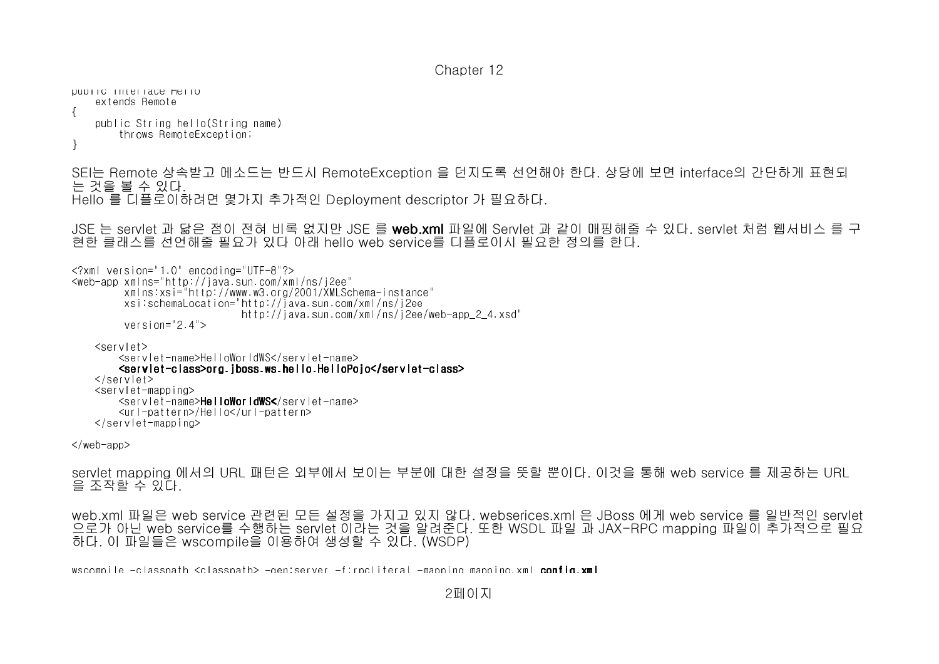public interface Hello extends Remote{ public String hello(String name) throws RemoteException;}

SEI는 Remote 상속받고 메소드는 반드시 RemoteException 을 던지도록 선언해야 한다. 상당에 보면 interface의 간단하게 표현되는 것을 볼 수 있다. Hello 를 디플로이하려면 몇가지 추가적인 Deployment descriptor 가 필요하다.

JSE 는 servlet 과 닮은 점이 전혀 비록 없지만 JSE 를 **web.xml** 파일에 Servlet 과 같이 매핑해줄 수 있다. servlet 처럼 웹서비스 를 구 현한 클래스를 선언해줄 필요가 있다 아래 hello web service를 디플로이시 필요한 정의를 한다.

<?xml version="1.0" encoding="UTF-8"?> <web-app xmlns="http://java.sun.com/xml/ns/j2ee" xmlns:xsi="http://www.w3.org/2001/XMLSchema-instance" xsi:schemaLocation="http://java.sun.com/xml/ns/j2ee http://java.sun.com/xml/ns/j2ee/web-app\_2\_4.xsd"version="2.4">

<servlet>

 <servlet-name>HelloWorldWS</servlet-name> <servlet <servletservlet-class>org.jboss.ws.hello.HelloPojo</ class>org.jboss.ws.hello.HelloPojo</ class>org.jboss.ws.hello.HelloPojo</servlet servletservlet-class> </servlet> <servlet-mapping><servlet-name>**HelloWorldWS<**/servlet-name> <url-pattern>/Hello</url-pattern> $\langle$ /servlet-mapping>

 $\langle$ /web-app $\rangle$ 

servlet mapping 에서의 URL 패턴은 외부에서 보이는 부분에 대한 설정을 뜻할 뿐이다. 이것을 통해 web service 를 제공하는 URL을 조작할 수 있다.

web.xml 파일은 web service 관련된 모든 설정을 가지고 있지 않다. webserices.xml 은 JBoss 에게 web service 를 일반적인 servlet 으로가 아닌 web service를 수행하는 servlet 이라는 것을 알려준다. 또한 WSDL 파일 과 JAX-RPC mapping 파일이 추가적으로 필요하다. 이 파일들은 wscompile을 이용하여 생성할 수 있다. (WSDP)

wscompile -classpath <classpath> -gen:server -f:rpcliteral -mapping mapping.xml config.xml

2페이지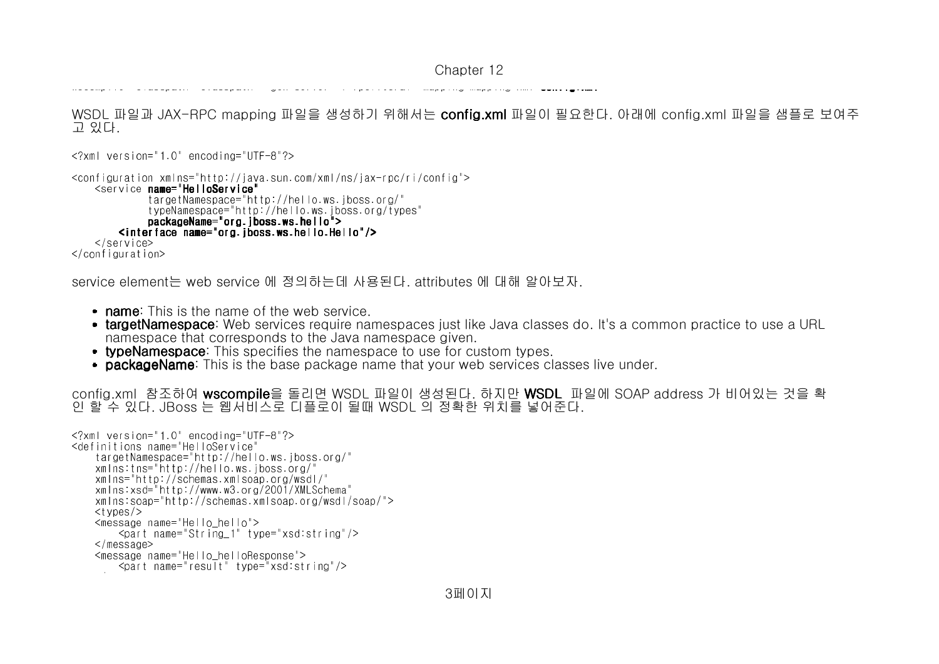wscompile -classication -classication -classication -classication -first mapping mapping mapping.xml configura

WSDL 파일과 JAX-RPC mapping 파일을 생성하기 위해서는 **config.xml** 파일이 필요한다. 아래에 config.xml 파일을 샘플로 보여주 고 있다.

```
<?xml version="1.0" encoding="UTF-8"?>
```

```
<configuration xmlns="http://java.sun.com/xml/ns/jax-rpc/ri/config">   <service name="HelloService name="HelloService HelloService"
                           targetNamespace="http://hello.ws.jboss.org/"
            typeNamespace="http://hello.ws.jboss.org/types"packageName="org.jboss.ws.hello"><br>Cinterface_game="org.jboss.ws.hello">
\frac{1}{2} <interface name="org.jboss.ws.hello.Hello"/>
    \langle/service>

</configuration>
```
service element는 web service 에 정의하는데 사용된다. attributes 에 대해 알아보자.

- name: This is the name of the web service.
- **targetNamespace**: Web services require namespaces just like Java classes do. It's a common practice to use a URL namespace that corresponds to the Java namespace given.
- **typeNamespace**: This specifies the namespace to use for custom types.
- **packageName**: This is the base package name that your web services classes live under.

config.xml 참조하여 wscompile을 돌리면 WSDL 파일이 생성된다. 하지만 WSDL 파일에 SOAP address 가 비어있는 것을 확인 할 수 있다. JBoss 는 웹서비스로 디플로이 될때 WSDL 의 정확한 위치를 넣어준다.

```
<?xml version="1.0" encoding="UTF-8"?><definitions name="HelloService"
   targetNamespace="http://hello.ws.jboss.org/"   xmlns:tns="http://hello.ws.jboss.org/"
   xmlns="http://schemas.xmlsoap.org/wsdl/"
   xmlns:xsd="http://www.w3.org/2001/XMLSchema"
   xmlns:soap="http://schemas.xmlsoap.org/wsdl/soap/">ltvnes/>
   <message name="Hello_hello">
       <part name="String_1" type="xsd:string"/>   </message>
   <message name="Hello_helloResponse">
       <part name="result" type="xsd:string"/>message of the contract of the contract of the contract of the contract of the contract of the contract of the<br>Second contract of the contract of the contract of the contract of the contract of the contract of the contract
```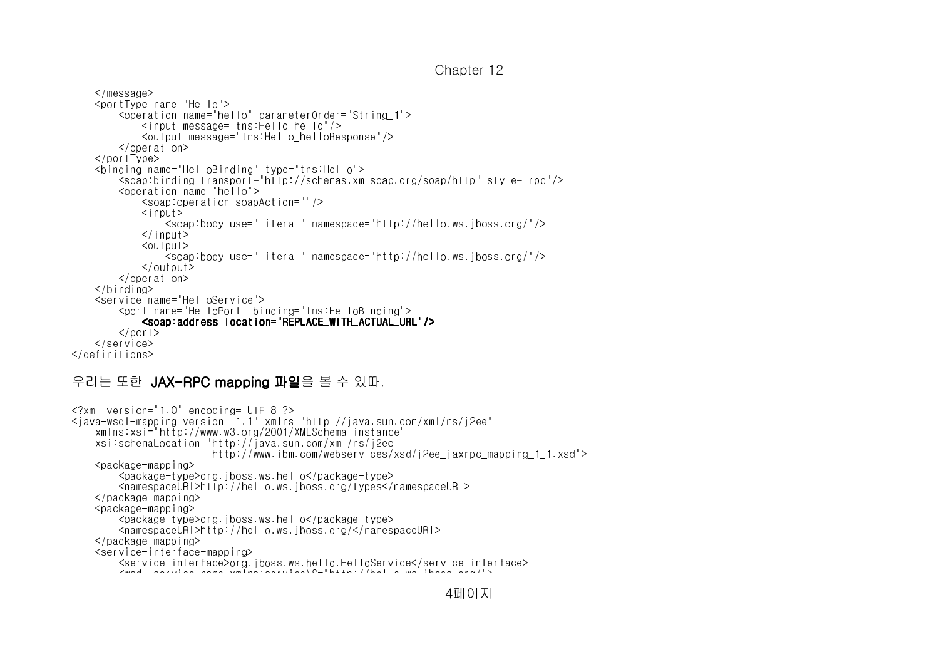```
Chapter 12
```

```
   </message>
   <portType name="Hello">
       <operation name="hello" parameterOrder="String_1">           <input message="tns:Hello_hello"/>
           <output message="tns:Hello_helloResponse"/>       </operation></portType>
   <binding name="HelloBinding" type="tns:Hello">
       <soap:binding transport="http://schemas.xmlsoap.org/soap/http" style="rpc"/>       <operation name="hello">
           <soap:operation soapAction=""/>           <input>
               <soap:body use="literal" namespace="http://hello.ws.jboss.org/"/>\langleinput\rangle≪output>

               <soap:body use="literal" namespace="http://hello.ws.jboss.org/"/>\langle output>

       </operation>\langlebinding>

   <service name="HelloService">
       <port name="HelloPort" binding="tns:HelloBinding"><soap:address location=" REPLACE_WITH_ACTUAL_URL"/>
        \langle/port\rangle
   </service>
</definitions>
```
#### 우리는 또한 JAX-RPC mapping 파일을 볼 수 있따.

```
<?xml version="1.0" encoding="UTF-8"?>
<java-wsdl-mapping version="1.1" xmlns="http://java.sun.com/xml/ns/j2ee"   xmlns:xsi="http://www.w3.org/2001/XMLSchema-instance"    xsi:schemaLocation="http://java.sun.com/xml/ns/j2ee
                       http://www.ibm.com/webservices/xsd/j2ee_jaxrpc_mapping_1_1.xsd">   <package-mapping>
       <package-type>org.jboss.ws.hello</package-type>
       <namespaceURI>http://hello.ws.jboss.org/types</namespaceURI>\langle/package-mapping>

   <package-mapping>
       <package-type>org.jboss.ws.hello</package-type>
       <namespaceURI>http://hello.ws.jboss.org/</namespaceURI>\langle/package-mapping>

   <service-interface-mapping>
       <service-interface>org.jboss.ws.hello.HelloService</service-interface><wsdl-service-name xmlns:serviceNS="http://hello.ws.jboss.org/">
```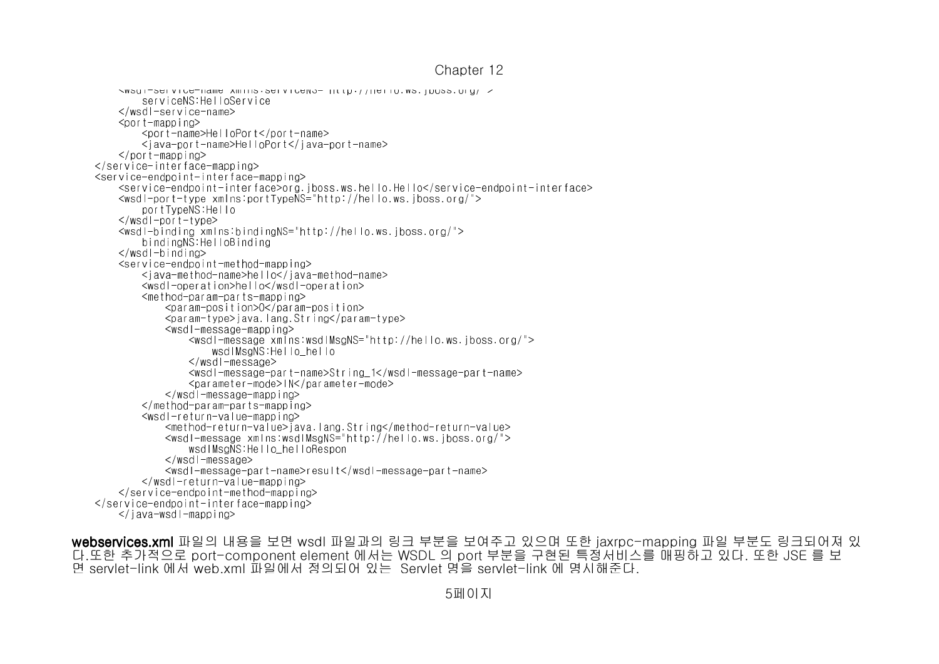```
Chapter 12
```

```
<wsdl-service-name xmlns:serviceNS="http://hello.ws.jboss.org/">           serviceNS:HelloService       </wsdl-service-name>       <port-mapping>
           <port-name>HelloPort</port-name>
           <java-port-name>HelloPort</java-port-name>\langle/port-mapping>

   </service-interface-mapping>
   <service-endpoint-interface-mapping>
       <service-endpoint-interface>org.jboss.ws.hello.Hello</service-endpoint-interface>\leqwsdl-port-type xmlns:portTypeNS="http://hello.ws.iboss.org/">
                       portTypeNS:Hello       </wsdl-port-type>
       <wsdl-binding xmlns:bindingNS="http://hello.ws.jboss.org/">           bindingNS:HelloBinding\langlewsdl-binding>

       <service-endpoint-method-mapping>
           <java-method-name>hello</java-method-name>           <wsdl-operation>hello</wsdl-operation>           <method-param-parts-mapping>
               <param-position>0</param-position>
               <param-type>java.lang.String</param-type>               <wsdl-message-mapping>
                   <wsdl-message xmlns:wsdlMsgNS="http://hello.ws.jboss.org/">wsdlMsgNS:Hello_hello
                                        </wsdl-message>
                   <wsdl-message-part-name>String_1</wsdl-message-part-name>                   <parameter-mode>IN</parameter-mode>\le/wsdl-message-mapping>

           </method-param-parts-mapping>           <wsdl-return-value-mapping>
               <method-return-value>java.lang.String</method-return-value>
               <wsdl-message xmlns:wsdlMsgNS="http://hello.ws.jboss.org/">wsdlMsgNS:Hello_helloRespon
                                </wsdl-message>
               <wsdl-message-part-name>result</wsdl-message-part-name>\le/wsdl-return-value-mapping>

       </service-endpoint-method-mapping>
   </service-endpoint-interface-mapping>\langleiava-wsdl-mapping>
```
webservices.xml 파일의 내용을 보면 wsdl 파일과의 링크 부분을 보여주고 있으며 또한 jaxrpc-mapping 파일 부분도 링크되어져 있 다.또한 추가적으로 port-component element 에서는 WSDL 의 port 부분을 구현된 특정서비스를 매핑하고 있다. 또한 JSE 를 보면 servlet-link 에서 web.xml 파일에서 정의되어 있는 Servlet 명을 servlet -link 에 명시해준다.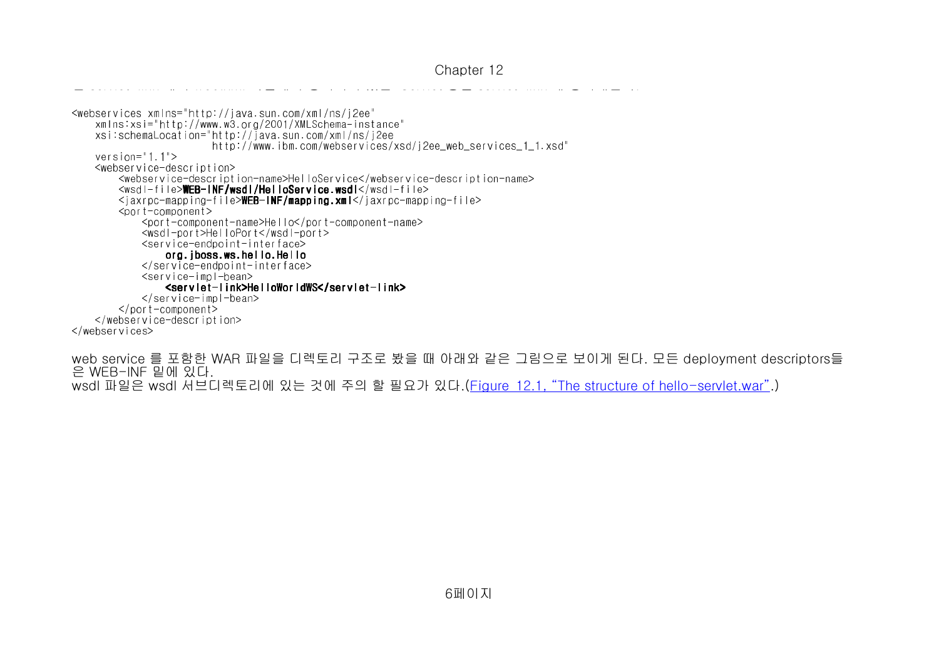파일에서 정의되어 있는 Servlet 명을 servlet-link 에 명시해준다.<webservices xmlns="http://java.sun.com/xml/ns/j2ee" xmlns:xsi="http://www.w3.org/2001/XMLSchema-instance" xsi:schemaLocation="http://java.sun.com/xml/ns/j2ee http://www.ibm.com/webservices/xsd/j2ee\_web\_services\_1\_1.xsd" version="1.1"> <webservice-description> <webservice-description-name>HelloService</webservice-description-name> $\frac{1}{2}$  <wsdl-file>WEB-INF/wsdl/HelloService.wsdl</wsdl-file> <jaxrpc-mapping-file>**WEB-INF/mapping.xml**</jaxrpc-mapping-file> <port-component> <port-component-name>Hello</port-component-name> <wsdl-port>HelloPort</wsdl-port> <service-endpoint-interface> org.jboss.ws.hello.Hello </service-endpoint-interface> $<$ service-impl-bean $>$  <servlet <servletservlet-link>HelloWorldWS</ link>HelloWorldWS</link>HelloWorldWS</servlet servletservlet-link> </service-impl-bean> </port-component> </webservice-description></webservices>

면 servlet-link 에서 web.xml

web service 를 포함한 WAR 파일을 디렉토리 구조로 봤을 때 아래와 같은 그림으로 보이게 된다. 모든 deployment descriptors들은 WEB-INF 밑에 있다.wsdl 파일은 wsdl 서브디렉토리에 있는 것에 주의 할 필요가 있다.(<u>Figure\_12.1, "The structure of hello-servlet.war"</u>.)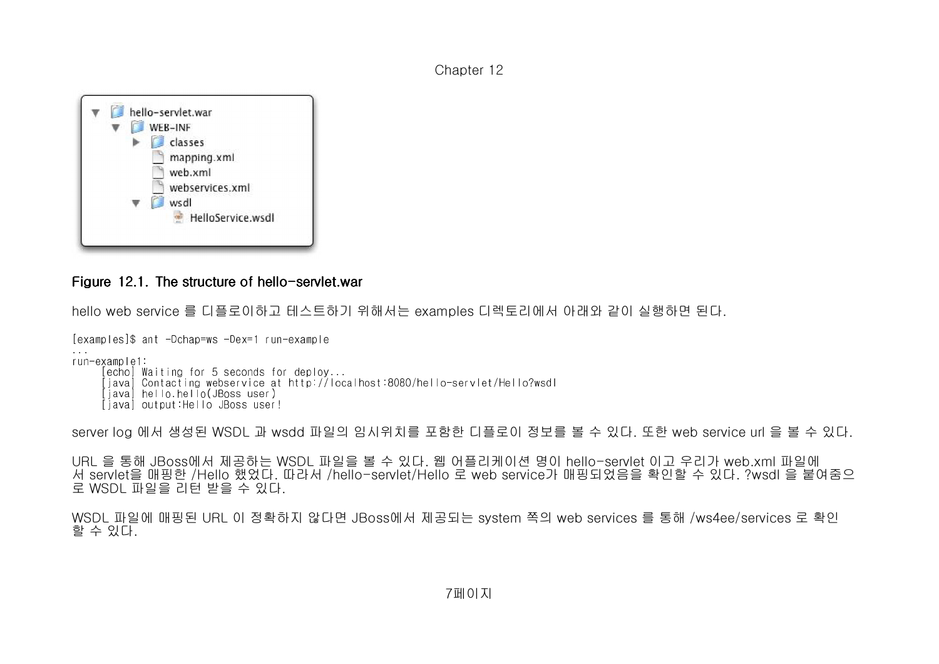

### Figure 12.1. The structure of hello-servlet.war  $\,$

hello web service 를 디플로이하고 테스트하기 위해서는 examples 디렉토리에서 아래와 같이 실행하면 된다.

[examples]\$ ant -Dchap=ws -Dex=1 run-example

. . run-example1:

- [echo] Waiting for 5 seconds for deploy...
- [java] Contacting webservice at http://localhost:8080/hello-servlet/Hello?wsdl
	- [java] hello.hello(JBoss user)
- [java] output:Hello JBoss user!

server log 에서 생성된 WSDL 과 wsdd 파일의 임시위치를 포함한 디플로이 정보를 볼 수 있다. 또한 web service url 을 볼 수 있다.

URL 을 통해 JBoss에서 제공하는 WSDL 파일을 볼 수 있다. 웹 어플리케이션 명이 hello-servlet 이고 우리가 web.xml 파일에 서 servlet을 매핑한 /Hello 했었다. 따라서 /hello-servlet/Hello 로 web service가 매핑되었음을 확인할 수 있다. ?wsdl 을 붙여줌으로 WSDL 파일을 리턴 받을 수 있다.

```
WSDL 파일에 매핑된 URL 이 정확하지 않다면 JBoss에서 제공되는 system 쪽의 web services 를 통해 /ws4ee/services 로 확인할 수 있다.
```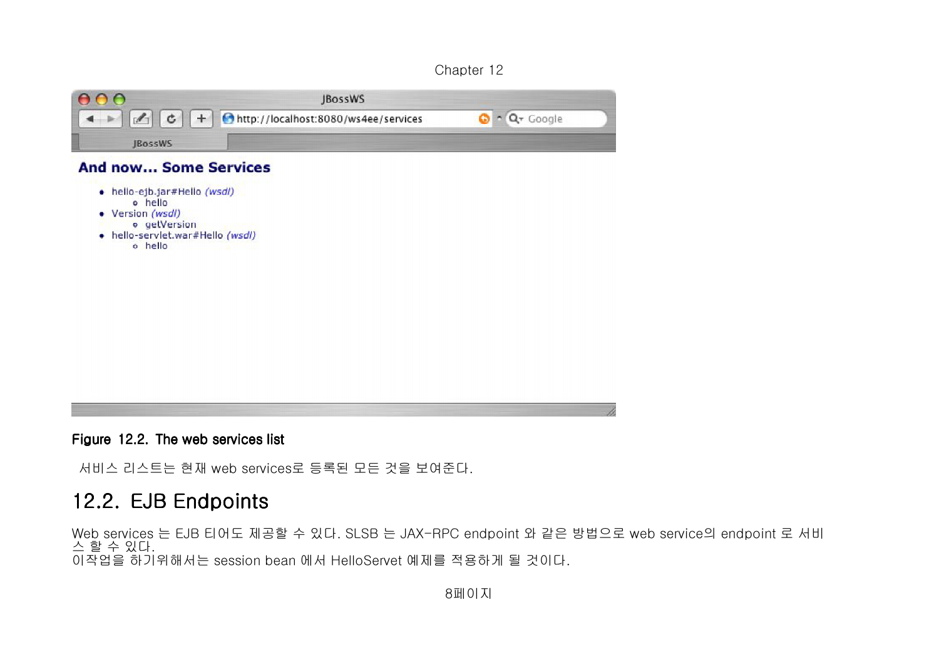|                | <b>JBossWS</b>                                                                                   |        |
|----------------|--------------------------------------------------------------------------------------------------|--------|
|                | $\mathcal{L}$ $\mathcal{L}$ $\mathcal{L}$ $+$ $\mathcal{L}$ http://localhost:8080/ws4ee/services | Google |
| <b>IBossWS</b> |                                                                                                  |        |

#### **And now... Some Services**

- · hello-ejb.jar#Hello (wsdl) o hello
- Version (wsdl)
- **o** getVersion
- · hello-servlet.war#Hello (wsdl) o hello

Figure 12.2. The web services list

서비스 리스트는 현재 web services로 등록된 모든 것을 보여준다.

# 12.2. EJB Endpoints

Web services 는 EJB 티어도 제공할 수 있다. SLSB 는 JAX-RPC endpoint 와 같은 방법으로 web service의 endpoint 로 서비스 할 수 있다. 이작업을 하기위해서는 session bean 에서 HelloServet 예제를 적용하게 될 것이다.

8페이지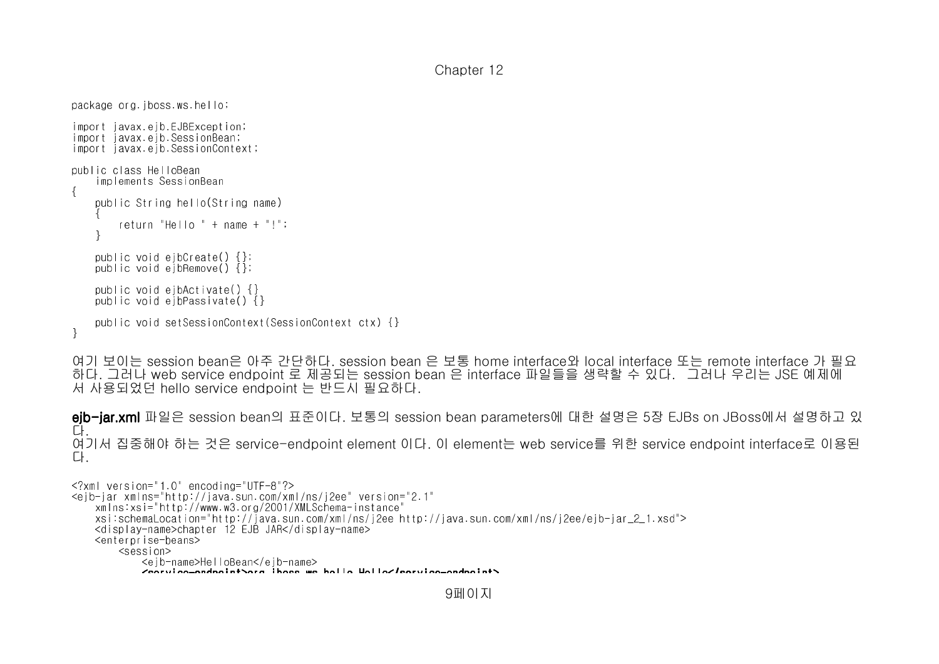```
package org.jboss.ws.hello;import javax.ejb.EJBException;
import javax.ejb.SessionBean;
import javax.ejb.SessionContext;public class HelloBean
   implements SessionBean{   public String hello(String name)\qquad \qquad \{       return "Hello " + name + "!";   }   public void ejbCreate() {};
   public void ejbRemove() {};   public void ejbActivate() {}
   public void ejbPassivate() {}   public void setSessionContext(SessionContext ctx) {}}
```
여기 보이는 session bean은 아주 간단하다. session bean 은 보통 home interface와 local interface 또는 remote interface 가 필요 하다. 그러나 web service endpoint 로 제공되는 session bean 은 interface 파일들을 생략할 수 있다. 그러나 우리는 JSE 예제에서 사용되었던 hello service endpoint 는 반드시 필요하다.

**ejb-jar.xml** 파일은 session bean의 표준이다. 보통의 session bean parameters에 대한 설명은 5장 EJBs on JBoss에서 설명하고 있 다. 여기서 집중해야 하는 것은 service-endpoint element 이다. 이 element는 web service를 위한 service endpoint interface로 이용된다.

```
<?xml version="1.0" encoding="UTF-8"?>
<ejb-jar xmlns="http://java.sun.com/xml/ns/j2ee" version="2.1"   xmlns:xsi="http://www.w3.org/2001/XMLSchema-instance" 
   xsi:schemaLocation="http://java.sun.com/xml/ns/j2ee http://java.sun.com/xml/ns/j2ee/ejb-jar_2_1.xsd">   <display-name>chapter 12 EJB JAR</display-name>   <enterprise-beans>       <session>
           <ejb-name>HelloBean</ejb-name>            <service-endpoint>org.jboss.ws.hello.Hello</service-endpoint>
```

```
9페이지
```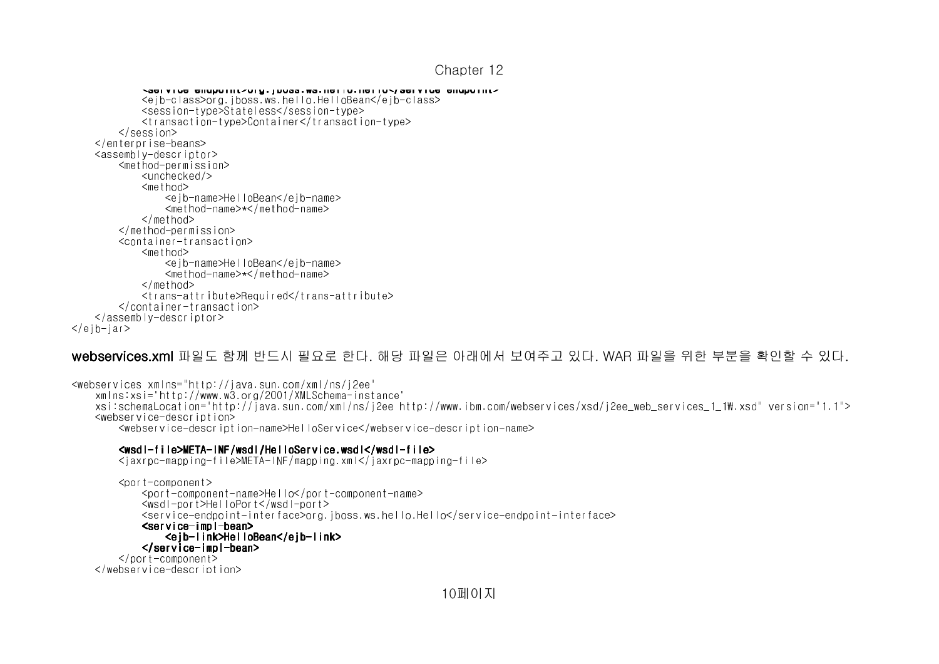```
Chapter 12
```

```
           <service-endpoint>org.jboss.ws.hello.Hello</service-endpoint>           <ejb-class>org.jboss.ws.hello.HelloBean</ejb-class>           <session-type>Stateless</session-type>
           <transaction-type>Container</transaction-type>       </session>
   </enterprise-beans>
   <assembly-descriptor>
       <method-permission>           <unchecked/>           <method>
               <ejb-name>HelloBean</ejb-name>               <method-name>*</method-name>           </method>
       </method-permission>
       <container-transaction>           <method>
               <ejb-name>HelloBean</ejb-name>               <method-name>*</method-name>           </method>
           <trans-attribute>Required</trans-attribute>       </container-transaction>   </assembly-descriptor>\langleeib-jar\rangle
```
#### **webservices.xml** 파일도 함께 반드시 필요로 한다. 해당 파일은 아래에서 보여주고 있다. WAR 파일을 위한 부분을 확인할 수 있다.

<webservices xmlns="http://java.sun.com/xml/ns/j2ee" xmlns:xsi="http://www.w3.org/2001/XMLSchema-instance"xsi:schemaLocation="http://java.sun.com/xml/ns/j2ee http://www.ibm.com/webservices/xsd/j2ee\_web\_services\_1\_1\.xsd" version="1.1"> <webservice-description><webservice-description-name>HelloService</webservice-description-name>

#### <wsdl-file>META file>META file>META-INF/wsdl/HelloService.wsdl HelloService.wsdl HelloService.wsdl</wsdl-file>

<jaxrpc-mapping-file>META-INF/mapping.xml</jaxrpc-mapping-file>

 $\langle$ conponent $\rangle$  <port-component-name>Hello</port-component-name> <wsdl-port>HelloPort</wsdl-port> <service-endpoint-interface>org.jboss.ws.hello.Hello</service-endpoint-interface><service-impl-bean>  $\sim$  100  $\sim$  100  $\sim$  100  $\sim$  100  $\sim$  100  $\sim$  <ejb-link>HelloBean</ link>HelloBean</ link>HelloBean</ejb-link> </service-impl-bean> </port-component></webservice-description>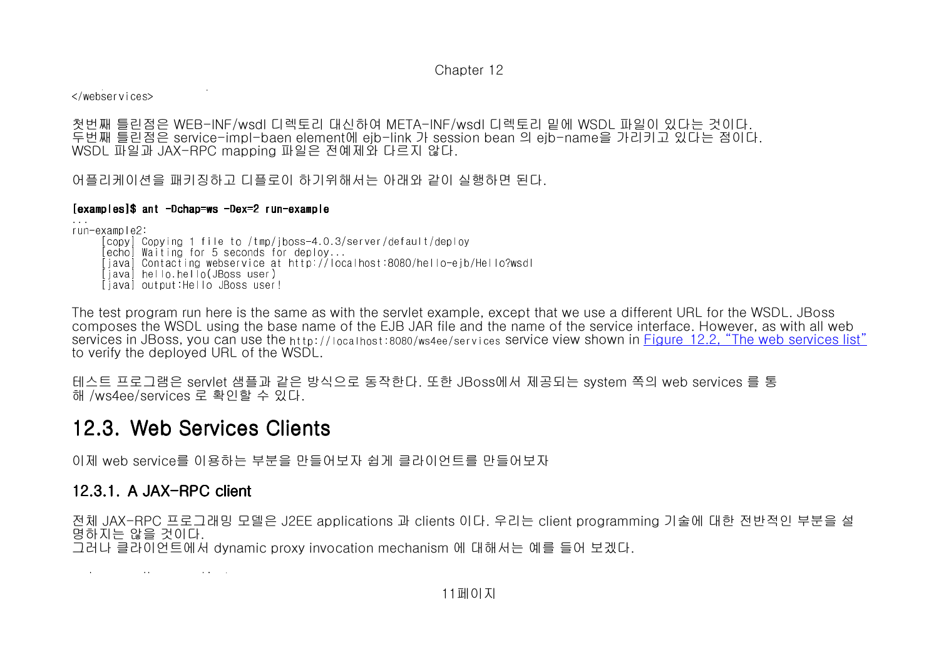webservice-description-description-description-</webservices>

첫번째 틀린점은 WFB-INF/wsdl 디렉토리 대신하여 MFTA-INF/wsdl 디렉토리 밑에 WSDL 파일이 있다는 것이다. 첫번째 틀린점은 WEB-INF/wsdl 디렉토리 대신하여 META-INF/wsdl 디렉토리 밑에 WSDL 파일이 있다는 것이다.<br>두번째 틀린점은 service-impl-baen element에 ejb-link 가 session bean 의 ejb-name을 가리키고 있다는 점이다.<br>WSDL 파일과 JAX-RPC mapping 파일은 전예제와 다르지 않다. WSDL 파일과 JAX-RPC mapping 파일은 전예제와 다르지 않다.

어플리케이션을 패키징하고 디플로이 하기위해서는 아래와 같이 실행하면 된다.

#### [<mark>examples]\$ ant -Dchap=ws -</mark>Dex=2 run-example

...run-example2:

 [copy] Copying 1 file to /tmp/jboss-4.0.3/server/default/deploy [echo] Waiting for 5 seconds for deploy... [java] Contacting webservice at http://localhost:8080/hello-ejb/Hello?wsdl [java] hello.hello(JBoss user)[java] output:Hello JBoss user!

The test program run here is the same as with the servlet example, except that we use a different URL for the WSDL. JBoss composes the WSDL using the base name of the EJB JAR file and the name of the service interface. However, as with all web services in JBoss, you can use the http://localhost:8080/ws4ee/services service view shown in <u>Figure 12.2, "The web services list"</u> to verify the deployed URL of the WSDL.

테스트 프로그램은 servlet 샘플과 같은 방식으로 동작한다. 또한 JBoss에서 제공되는 system 쪽의 web services 를 통해 /ws4ee/services 로 확인할 수 있다.

# 12.3. Web Services Clients

이제 web service를 이용하는 부분을 만들어보자 쉽게 클라이언트를 만들어보자

# 12.3.1. A JAX-RPC client

전체 JAX-RPC 프로그래밍 모델은 J2EE applications 과 clients 이다. 우리는 client programming 기술에 대한 전반적인 부분을 설명하지는 않을 것이다. 그러나 클라이언트에서 dynamic proxy invocation mechanism 에 대해서는 예를 들어 보겠다.

package org.jboss.ws.client;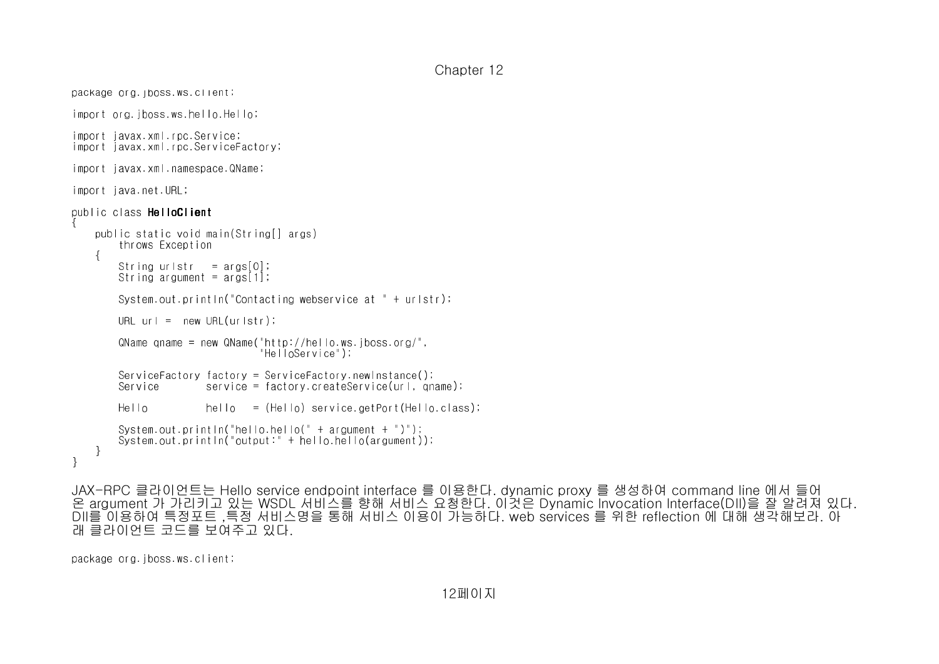```
Chapter 12
```

```
package org. iposs.ws.client,
import org.jboss.ws.hello.Hello;import javax.xml.rpc.Service;
import javax.xml.rpc.ServiceFactory;import javax.xml.namespace.QName;import java.net.URL;public class HelloClient{   public static void main(String[] args)       throws Exception\sim {
       String urlstr  = args[0];
       String argument = args[1];       System.out.println("Contacting webservice at " + urlstr);URL <math>ur \, \vert = new \, URL \, (urlstr);
        QName qname = new QName("http://hello.ws.jboss.org/",
                                                                   "HelloService");       ServiceFactory factory = ServiceFactory.newInstance();
       Service        service = factory.createService(url, qname);He110 hello = (He110) service.getPort(Hello.class);
               System.out.println("hello.hello(" + argument + ")");
       System.out.println("output:" + hello.hello(argument));   }}
```
JAX-RPC 클라이언트는 Hello service endpoint interface 를 이용한다. dynamic proxy 를 생성하여 command line 에서 들어 온 argument 가 가리키고 있는 WSDL 서비스를 향해 서비스 요청한다. 이것은 Dynamic Invocation Interface(DII)을 잘 알려져 있다. DII를 이용하여 특정포트 ,특정 서비스명을 통해 서비스 이용이 가능하다. web services 를 위한 reflection 에 대해 생각해보라. 아래 클라이언트 코드를 보여주고 있다.

package org.jboss.ws.client;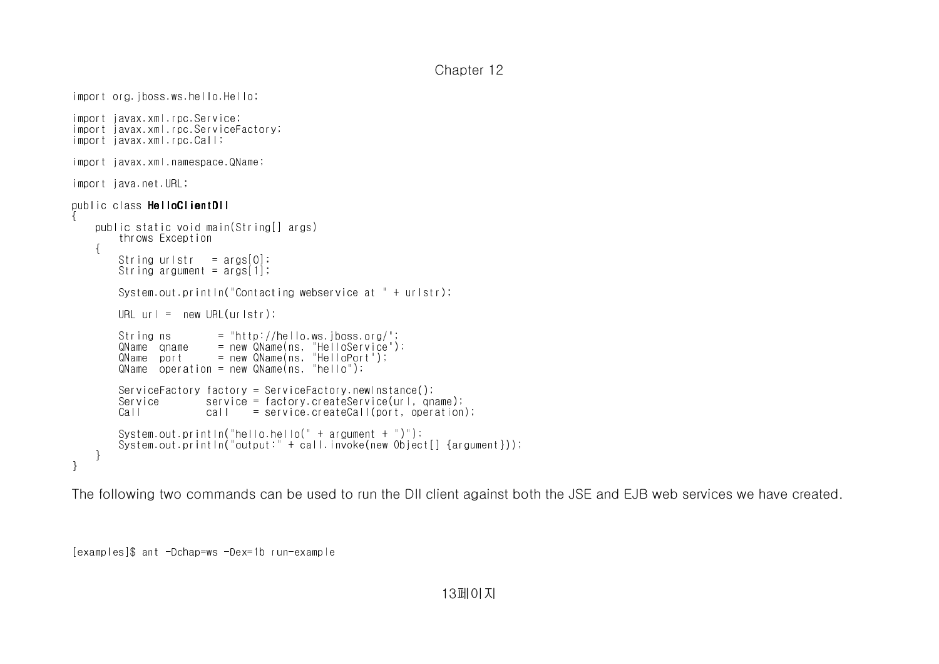```
Chapter 12
```

```
import org.jboss.ws.hello.Hello;import javax.xml.rpc.Service;
import javax.xml.rpc.ServiceFactory;import javax.xml.rpc.Call;import javax.xml.namespace.QName;import java.net.URL;public class HelloClientDII{   public static void main(String[] args)       throws Exception\sim {
       String urlstr  = args[0];
       String argument = args[1];       System.out.println("Contacting webservice at " + urlstr);URL url = new URL(urlstr);String ns = "http://hello.ws.jboss.org/";

       QName qname    = new QName(ns, "HelloService");       QName port      = new QName(ns, "HelloPort");
       QName operation = new QName(ns, "hello");       ServiceFactory factory = ServiceFactory.newInstance();
       Service        service = factory.createService(url, qname);
       Call           call    = service.createCall(port, operation);System.out.println("hello.hello(" + argument + ")");

       System.out.println("output:" + call.invoke(new Object[] {argument}));   }}
```
The following two commands can be used to run the DII client against both the JSE and EJB web services we have created.

[examples]\$ ant -Dchap=ws -Dex=1b run-example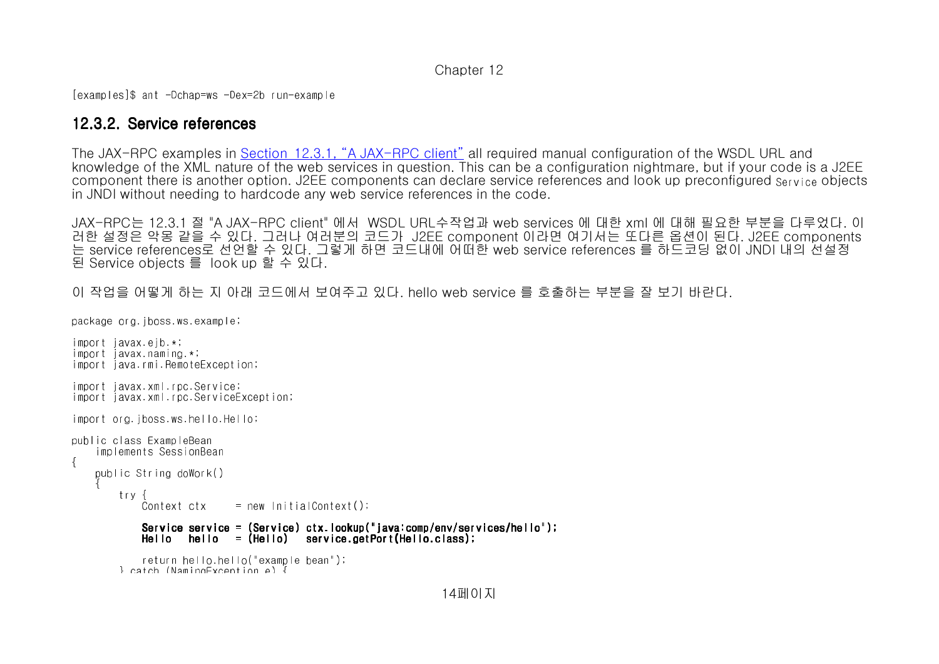[examples]\$ ant -Dchap=ws -Dex=2b run-example

### 12.3.2. Service references

The JAX-RPC examples in Section 12.3.1, "A JAX-RPC client" all required manual configuration of the WSDL URL and knowledge of the XML nature of the web services in question. This can be a configuration nightmare, but if your code is a J2EE component there is another option. J2EE components can declare service references and look up preconfigured Service objects in JNDI without needing to hardcode any web service references in the code.

JAX-RPC는 12.3.1 절JAX-RPC는 12.3.1 절 "A JAX-RPC client" 에서 WSDL URL수작업과 web services 에 대한 xml 에 대해 필요한 부분을 다루었다. 이<br>러한 설정은 악몽 같을 수 있다. 그러나 여러분의 코드가 J2EE component 이라면 여기서는 또다른 옵션이 된다. J2EE components<br>는 service references로 선언할 수 있다. 그렇게 하면 는 service references로 선언할 수 있다. 그렇게 하면 코드내에 어떠한 web service references 를 하드코딩 없이 JNDI 내의 선설정된 Service objects 를 look up 할 수 있다.

이 작업을 어떻게 하는 지 아래 코드에서 보여주고 있다. hello web service 를 호출하는 부분을 잘 보기 바란다.

```
package org.jboss.ws.example;
```

```
import javax.ejb.*;
import javax.naming.*;import java.rmi.RemoteException;
import javax.xml.rpc.Service;

import javax.xml.rpc.ServiceException;import org.jboss.ws.hello.Hello;public class ExampleBean
   implements SessionBean{   public String doWork()\sim {
                try {Context ctx
                                 = new InitialContext();
Service service = (Service) ctx.lookup("java:comp/env/services/hello");<br>Hello  hello  = (Hello)  service.getPort(Hello.class);
                                    return hello.hello("example bean");        } catch (NamingException e) {
```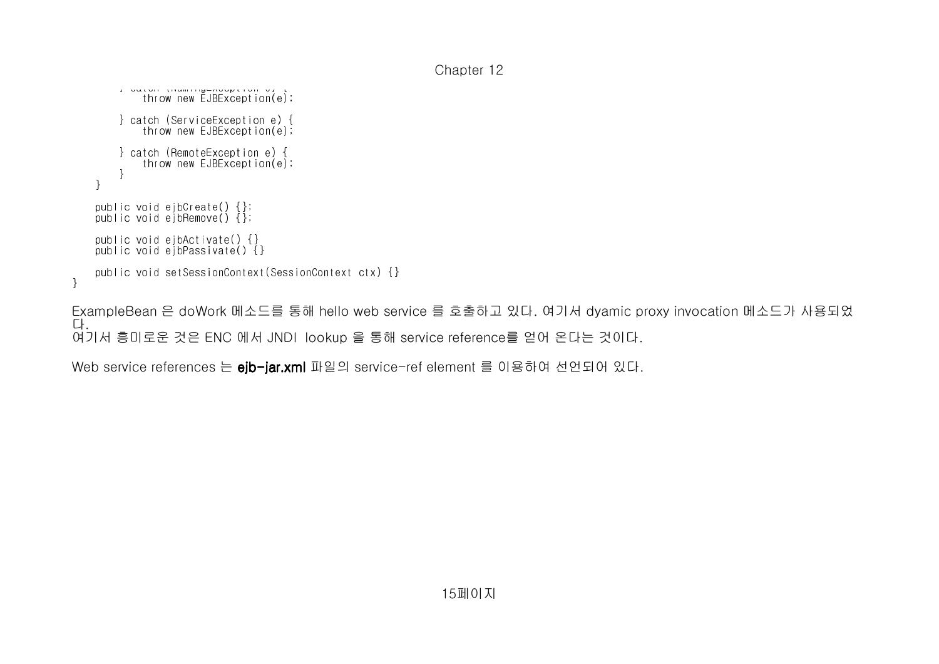```
Chapter 12
```

```
end (Naming Exception e);<br>
throw new EJBException (e);
                  } catch (ServiceException e) {
           throw new EJBException(e);                  } catch (RemoteException e) {
           throw new EJBException(e);       }   }   public void ejbCreate() {};
   public void ejbRemove() {};   public void ejbActivate() {}
   public void ejbPassivate() {}   public void setSessionContext(SessionContext ctx) {}}
```
ExampleBean 은 doWork 메소드를 통해 hello web service 를 호출하고 있다. 여기서 dyamic proxy invocation 메소드가 사용되었다. 여기서 흥미로운 것은 ENC 에서 JNDI lookup 을 통해 service reference를 얻어 온다는 것이다.

Web service references 는 **ejb-jar.xml** 파일의 service-ref element 를 이용하여 선언되어 있다.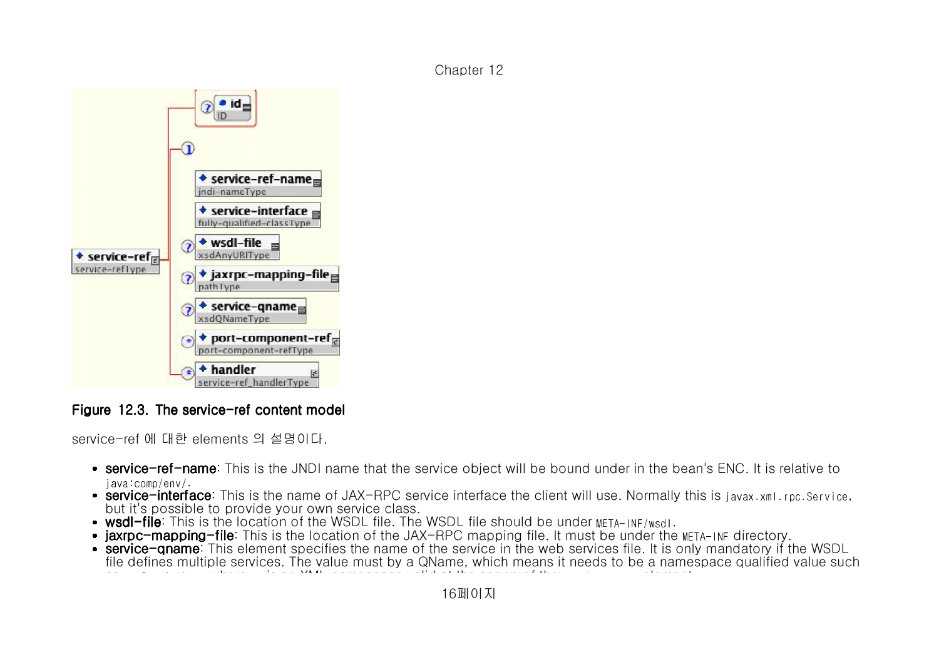

## Figure 12.3. The service-ref content model  $\,$

service-ref 에 대한 elements 의 설명이다.

- service-ref-name: This is the JNDI name that the service object will be bound under in the bean's ENC. It is relative to<br>Issue to make the l java:comp/env/.
- **service-interface**: This is the name of JAX-RPC service interface the client will use. Normally this is javax.xml.rpc.Service,<br>but it's possible to provide your own service close but it's possible to provide your own service class.
- **wsdl-file**: This is the location of the WSDL file. The WSDL file should be under <code>META-INF/wsdl.</code>
- **jaxrpc-mapping-file**: This is the location of the JAX-RPC mapping file. It must be under the META-INF directory.<br>**Conting-groma:** This element presifies the name of the sentice in the web sentices file. It is only mandato
- **service-qname**: This element specifies the name of the service in the web services file. It is only mandatory if the WSDL<br>file defines multiple services. The value must by a ONeme, which means it peeds to be a nameanage q file defines multiple services. The value must by a <sup>Q</sup>Name, which means it needs to be a namespace qualified value such as ns:ServiceNamewhere ns is an XML namespace valid at the scope of the service-qname element.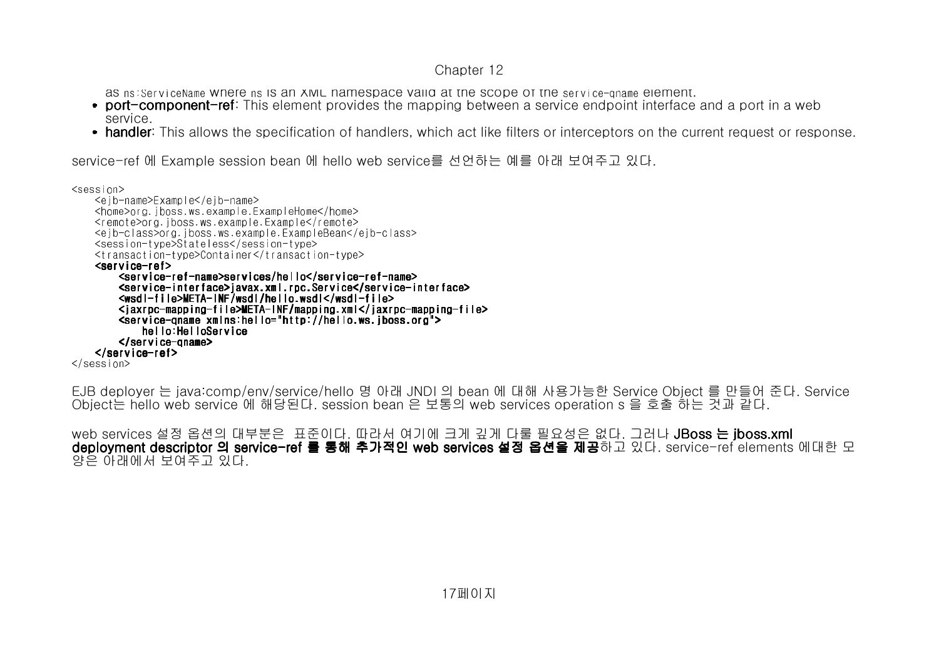as ns:ServiceName where ns is an XML namespace valid at the scope of the service-qname element.

- **port-component-ref**: This element provides the mapping between a service endpoint interface and a port in a web service.
- **handler**: This allows the specification of handlers, which act like filters or interceptors on the current request or response.

service-ref 에 Example session bean 에 hello web service를 선언하는 예를 아래 보여주고 있다.

```
<session>
   <ejb-name>Example</ejb-name>
   <home>org.jboss.ws.example.ExampleHome</home>
   <remote>org.jboss.ws.example.Example</remote>
   <ejb-class>org.jboss.ws.example.ExampleBean</ejb-class>   <session-type>Stateless</session-type>
   <transaction-type>Container</transaction-type><service-ref>
       <service- <service-ref-name>services/hello</service name>services/hello</service name>services/hello</service-ref-name> <service-interface>javax.xml.rpc.Service</service-interface><br><wsdl-file>META-INF/wsdl/hello.wsdl</wsdl-file>
           f(wsd)-file>META-INF/wsdl/hello.wsdl</wsdl-file>
<jaxrpc-mapping-file>META-INF/mapping.xml</jaxrpc-mapping-file><br><service-oname_xmlns:hello="http://hello.ws.iboss.org">
 <service-qnamexmlns:hello xmlns:helloxmlns:hello="http:// ="http://="http://hello.ws.jboss.org hello.ws.jboss.org hello.ws.jboss.org">            hello:HelloService       </service- </service-qname> </service-ref>
</session>
```
EJB deployer 는 java:comp/env/service/hello 명 아래 JNDI 의 bean 에 대해 사용가능한 Service Object 를 만들어 준다. Service Object는 hello web service 에 해당된다. session bean 은 보통의 web services operation s 을 호출 하는 것과 같다.

web services 설정 옵션의 대부분은 표준이다. 따라서 여기에 크게 깊게 다룰 필요성은 없다. 그러나 **JBoss 는 jboss.xml deployment descriptor 의 service-ref 를 통해 추가적인 web services 설정 옵션을 제공**하고 있다. service-ref elements 에대한 모<br>양은 아래에서 보여주고 있다. 양은 아래에서 보여주고 있다.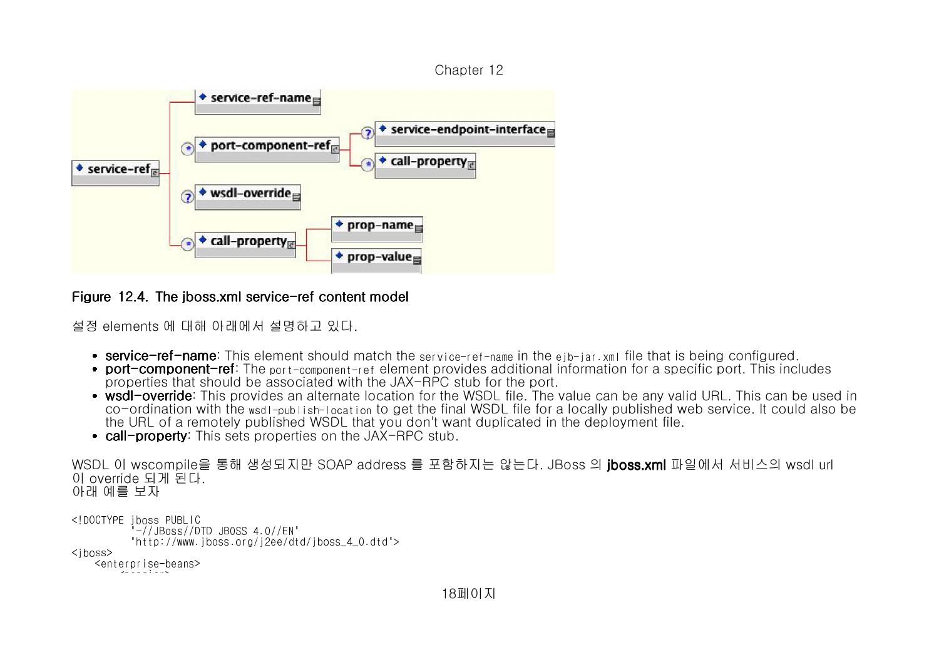



Figure 12.4. The jboss.xml service-ref content model  $\,$ 

설정 elements 에 대해 아래에서 설명하고 있다.

- service-ref-name: This element should match the service-ref-name in the ejb-jar.xml file that is being configured.<br>Pert-component-ref: The services reserved and element provides additional information for a specific port.
- **port-component-ref**: The <sub>port-component-ref element provides additional information for a specific port. This includes</sub> properties that should be associated with the JAX-RPC stub for the port.
- wsdl-override: This provides an alternate location for the WSDL file. The value can be any valid URL. This can be used in<br>An acception with the used in the set the final WSDL file for a locally published web convice. It ca co-ordination with the wsdl-publish-location to get the final WSDL file for a locally published web service. It could also be the URL of a remotely published WSDL that you don't want duplicated in the deployment file.
- **call-property**: This sets properties on the JAX-RPC stub.

```
WSDL 이 wscompile을 통해 생성되지만 SOAP address 를 포함하지는 않는다. JBoss 의 jboss.xml 파일에서 서비스의 wsdl url
이 override 되게 된다. 아래 예를 보자
```

```
<!DOCTYPE jboss PUBLIC
         "-//JBoss//DTD JBOSS 4.0//EN"
         "http://www.jboss.org/j2ee/dtd/jboss_4_0.dtd"><jhoss>
   <enterprise-beans>zalas tasv
```